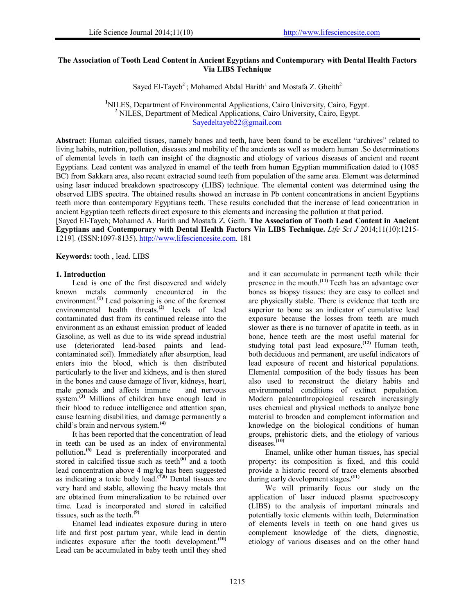# **The Association of Tooth Lead Content in Ancient Egyptians and Contemporary with Dental Health Factors Via LIBS Technique**

Sayed El-Tayeb<sup>2</sup>; Mohamed Abdal Harith<sup>1</sup> and Mostafa Z. Gheith<sup>2</sup>

<sup>1</sup>NILES, Department of Environmental Applications, Cairo University, Cairo, Egypt. <sup>2</sup> NILES, Department of Medical Applications, Cairo University, Cairo, Egypt.  $<sup>2</sup>$  NILES, Department of Medical Applications, Cairo University, Cairo, Egypt.</sup> Sayedeltayeb22@gmail.com

**Abstrac**t: Human calcified tissues, namely bones and teeth, have been found to be excellent "archives" related to living habits, nutrition, pollution, diseases and mobility of the ancients as well as modern human .So determinations of elemental levels in teeth can insight of the diagnostic and etiology of various diseases of ancient and recent Egyptians. Lead content was analyzed in enamel of the teeth from human Egyptian mummification dated to (1085 BC) from Sakkara area, also recent extracted sound teeth from population of the same area. Element was determined using laser induced breakdown spectroscopy (LIBS) technique. The elemental content was determined using the observed LIBS spectra. The obtained results showed an increase in Pb content concentrations in ancient Egyptians teeth more than contemporary Egyptians teeth. These results concluded that the increase of lead concentration in ancient Egyptian teeth reflects direct exposure to this elements and increasing the pollution at that period.

[Sayed El-Tayeb; Mohamed A. Harith and Mostafa Z. Geith. **The Association of Tooth Lead Content in Ancient Egyptians and Contemporary with Dental Health Factors Via LIBS Technique.** *Life Sci J* 2014;11(10):1215- 1219]. (ISSN:1097-8135). http://www.lifesciencesite.com. 181

**Keywords:** tooth , lead. LIBS

#### **1. Introduction**

Lead is one of the first discovered and widely known metals commonly encountered in the environment.**(1)** Lead poisoning is one of the foremost environmental health threats.**(2)** levels of lead contaminated dust from its continued release into the environment as an exhaust emission product of leaded Gasoline, as well as due to its wide spread industrial use (deteriorated lead-based paints and leadcontaminated soil). Immediately after absorption, lead enters into the blood, which is then distributed particularly to the liver and kidneys, and is then stored in the bones and cause damage of liver, kidneys, heart, male gonads and affects immune system.**(3)** Millions of children have enough lead in their blood to reduce intelligence and attention span, cause learning disabilities, and damage permanently a child's brain and nervous system.**(4)**

It has been reported that the concentration of lead in teeth can be used as an index of environmental pollution**. (5)** Lead is preferentially incorporated and stored in calcified tissue such as teeth<sup>(6)</sup> and a tooth lead concentration above 4 mg/kg has been suggested as indicating a toxic body load.**(7,8)** Dental tissues are very hard and stable, allowing the heavy metals that are obtained from mineralization to be retained over time. Lead is incorporated and stored in calcified tissues, such as the teeth.**(9)**

Enamel lead indicates exposure during in utero life and first post partum year, while lead in dentin indicates exposure after the tooth development.**(10)** Lead can be accumulated in baby teeth until they shed

and it can accumulate in permanent teeth while their presence in the mouth.<sup>(11)</sup> Teeth has an advantage over bones as biopsy tissues: they are easy to collect and are physically stable. There is evidence that teeth are superior to bone as an indicator of cumulative lead exposure because the losses from teeth are much slower as there is no turnover of apatite in teeth, as in bone, hence teeth are the most useful material for studying total past lead exposure**. (12)** Human teeth, both deciduous and permanent, are useful indicators of lead exposure of recent and historical populations. Elemental composition of the body tissues has been also used to reconstruct the dietary habits and environmental conditions of extinct population. Modern paleoanthropological research increasingly uses chemical and physical methods to analyze bone material to broaden and complement information and knowledge on the biological conditions of human groups, prehistoric diets, and the etiology of various diseases.**(10)**

Enamel, unlike other human tissues, has special property: its composition is fixed, and this could provide a historic record of trace elements absorbed during early development stages**. (11)** 

We will primarily focus our study on the application of laser induced plasma spectroscopy (LIBS) to the analysis of important minerals and potentially toxic elements within teeth, Determination of elements levels in teeth on one hand gives us complement knowledge of the diets, diagnostic, etiology of various diseases and on the other hand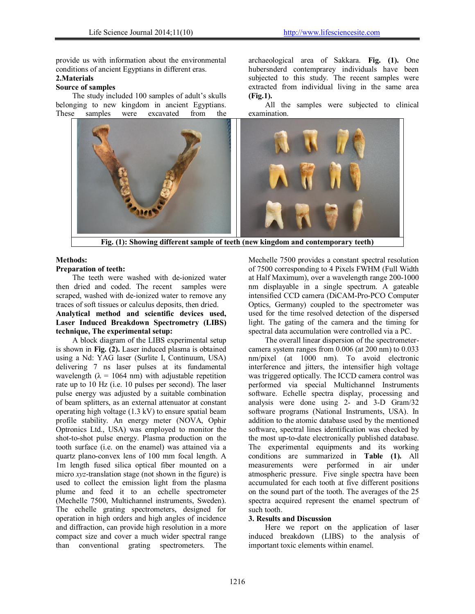provide us with information about the environmental conditions of ancient Egyptians in different eras.

# **2.Materials**

# **Source of samples**

The study included 100 samples of adult's skulls belonging to new kingdom in ancient Egyptians. These samples were excavated from the archaeological area of Sakkara. **Fig. (1).** One hubersnderd contemprarey individuals have been subjected to this study. The recent samples were extracted from individual living in the same area **(Fig.1).**

All the samples were subjected to clinical examination.



**Fig. (1): Showing different sample of teeth (new kingdom and contemporary teeth)**

# **Methods:**

### **Preparation of teeth:**

The teeth were washed with de-ionized water then dried and coded. The recent samples were scraped, washed with de-ionized water to remove any traces of soft tissues or calculus deposits, then dried.

# **Analytical method and scientific devices used, Laser Induced Breakdown Spectrometry (LIBS) technique, The experimental setup:**

A block diagram of the LIBS experimental setup is shown in **Fig. (2).** Laser induced plasma is obtained using a Nd: YAG laser (Surlite I, Continuum, USA) delivering 7 ns laser pulses at its fundamental wavelength ( $\lambda = 1064$  nm) with adjustable repetition rate up to 10 Hz (i.e. 10 pulses per second). The laser pulse energy was adjusted by a suitable combination of beam splitters, as an external attenuator at constant operating high voltage (1.3 kV) to ensure spatial beam profile stability. An energy meter (NOVA, Ophir Optronics Ltd., USA) was employed to monitor the shot-to-shot pulse energy. Plasma production on the tooth surface (i.e. on the enamel) was attained via a quartz plano-convex lens of 100 mm focal length. A 1m length fused silica optical fiber mounted on a micro *xyz*-translation stage (not shown in the figure) is used to collect the emission light from the plasma plume and feed it to an echelle spectrometer (Mechelle 7500, Multichannel instruments, Sweden). The echelle grating spectrometers, designed for operation in high orders and high angles of incidence and diffraction, can provide high resolution in a more compact size and cover a much wider spectral range than conventional grating spectrometers. The Mechelle 7500 provides a constant spectral resolution of 7500 corresponding to 4 Pixels FWHM (Full Width at Half Maximum), over a wavelength range 200-1000 nm displayable in a single spectrum. A gateable intensified CCD camera (DiCAM-Pro-PCO Computer Optics, Germany) coupled to the spectrometer was used for the time resolved detection of the dispersed light. The gating of the camera and the timing for spectral data accumulation were controlled via a PC.

The overall linear dispersion of the spectrometercamera system ranges from 0.006 (at 200 nm) to 0.033 nm/pixel (at 1000 nm). To avoid electronic interference and jitters, the intensifier high voltage was triggered optically. The ICCD camera control was performed via special Multichannel Instruments software. Echelle spectra display, processing and analysis were done using 2- and 3-D Gram/32 software programs (National Instruments, USA). In addition to the atomic database used by the mentioned software, spectral lines identification was checked by the most up-to-date electronically published database. The experimental equipments and its working conditions are summarized in **Table (1).** All measurements were performed in air under atmospheric pressure. Five single spectra have been accumulated for each tooth at five different positions on the sound part of the tooth. The averages of the 25 spectra acquired represent the enamel spectrum of such tooth.

# **3. Results and Discussion**

Here we report on the application of laser induced breakdown (LIBS) to the analysis of important toxic elements within enamel.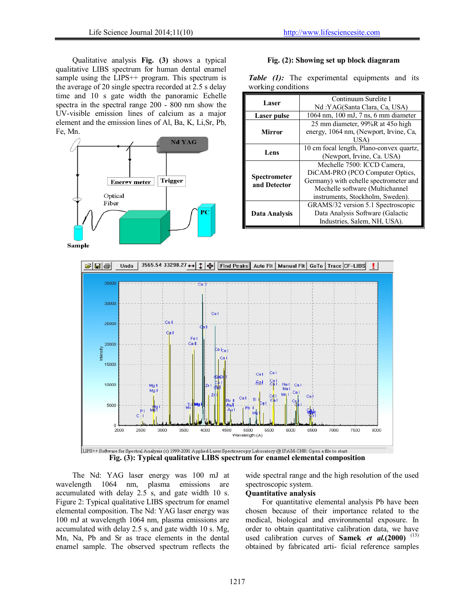Qualitative analysis **Fig. (3)** shows a typical qualitative LIBS spectrum for human dental enamel sample using the LIPS<sup>++</sup> program. This spectrum is the average of 20 single spectra recorded at 2.5 s delay time and 10 s gate width the panoramic Echelle spectra in the spectral range 200 - 800 nm show the UV-visible emission lines of calcium as a major element and the emission lines of Al, Ba, K, Li,Sr, Pb, Fe, Mn.



### **Fig. (2): Showing set up block diagnram**

*Table (1):* The experimental equipments and its working conditions

| Continuum Surelite I                     |
|------------------------------------------|
| Nd:YAG(Santa Clara, Ca, USA)             |
| 1064 nm, 100 mJ, 7 ns, 6 mm diameter     |
| 25 mm diameter, 99%R at 450 high         |
| energy, 1064 nm, (Newport, Irvine, Ca,   |
| USA)                                     |
| 10 cm focal length, Plano-convex quartz, |
| (Newport, Irvine, Ca. USA)               |
| Mechelle 7500: ICCD Camera.              |
| DiCAM-PRO (PCO Computer Optics,          |
| Germany) with echelle spectrometer and   |
| Mechelle software (Multichannel          |
| instruments, Stockholm, Sweden).         |
| GRAMS/32 version 5.1 Spectroscopic       |
| Data Analysis Software (Galactic         |
| Industries, Salem, NH, USA).             |
|                                          |



The Nd: YAG laser energy was 100 mJ at wavelength 1064 nm, plasma emissions are accumulated with delay 2.5 s, and gate width 10 s. Figure 2: Typical qualitative LIBS spectrum for enamel elemental composition. The Nd: YAG laser energy was 100 mJ at wavelength 1064 nm, plasma emissions are accumulated with delay 2.5 s, and gate width 10 s. Mg, Mn, Na, Pb and Sr as trace elements in the dental enamel sample. The observed spectrum reflects the wide spectral range and the high resolution of the used spectroscopic system.

#### **Quantitative analysis**

For quantitative elemental analysis Pb have been chosen because of their importance related to the medical, biological and environmental exposure. In order to obtain quantitative calibration data, we have used calibration curves of **Samek** *et al.***(2000)** (13) obtained by fabricated arti- ficial reference samples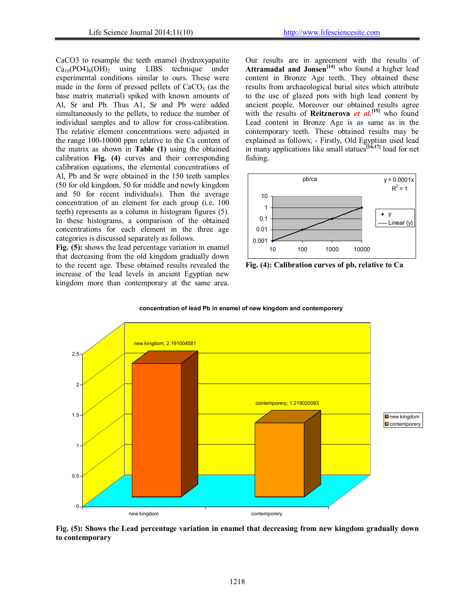CaCO3 to resample the teeth enamel (hydroxyapatite  $Ca_{10}(PO4)_6(OH)$ <sub>2</sub> using LIBS technique under experimental conditions similar to ours. These were made in the form of pressed pellets of  $CaCO<sub>3</sub>$  (as the base matrix material) spiked with known amounts of Al, Sr and Pb. Thus A1, Sr and Pb were added simultaneously to the pellets, to reduce the number of individual samples and to allow for cross-calibration. The relative element concentrations were adjusted in the range 100-10000 ppm relative to the Ca content of the matrix as shown in **Table (1)** using the obtained calibration **Fig. (4)** curves and their corresponding calibration equations, the elemental concentrations of Al, Pb and Sr were obtained in the 150 teeth samples (50 for old kingdom, 50 for middle and newly kingdom and 50 for recent individuals). Then the average concentration of an element for each group (i.e. 100 teeth) represents as a column in histogram figures (5). In these histograms, a comparison of the obtained concentrations for each element in the three age categories is discussed separately as follows.

**Fig. (5):** shows the lead percentage variation in enamel that decreasing from the old kingdom gradually down to the recent age. These obtained results revealed the increase of the lead levels in ancient Egyptian new kingdom more than contemporary at the same area.

Our results are in agreement with the results of Attramadal and Jonsen<sup>[14]</sup> who found a higher lead content in Bronze Age teeth. They obtained these results from archaeological burial sites which attribute to the use of glazed pots with high lead content by ancient people. Moreover our obtained results agree with the results of **Reitznerova** *et al.*<sup>[15]</sup> who found Lead content in Bronze Age is as same as in the contemporary teeth. These obtained results may be explained as follows; - Firstly, Old Egyptian used lead in many applications like small statues**[16,17]** load for net fishing.



**Fig. (4): Calibration curves of pb, relative to Ca**



**concentration of lead Pb in enamel of new kingdom and contemporery**

**Fig. (5): Shows the Lead percentage variation in enamel that decreasing from new kingdom gradually down to contemporary**